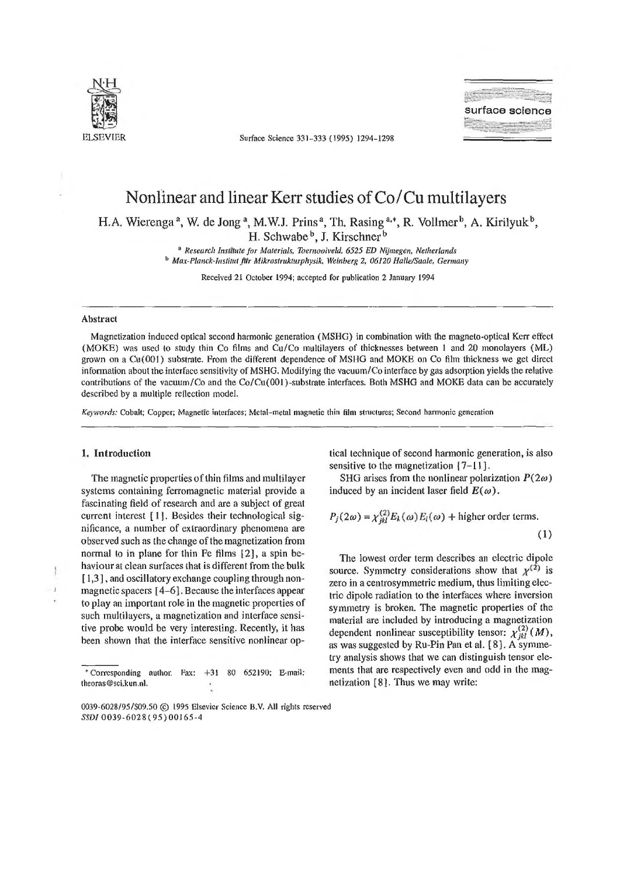

ELSEVIER Surface Science 331-333 (1995) 1294-1298

**surface science**

# Nonlinear and linear Kerr studies of Co/Cu multilayers

H.A. Wierenga<sup>a</sup>, W. de Jong<sup>a</sup>, M.W.J. Prins<sup>a</sup>, Th. Rasing<sup>a,\*</sup>, R. Vollmer<sup>b</sup>, A. Kirilyuk<sup>b</sup>, H. Schwabe<sup>b</sup>, J. Kirschner<sup>b</sup>

> <sup>a</sup> Research Institute for Materials, Toernooiveld, 6525 ED Nijmegen, Netherlands <sup>b</sup> Max-Planck-Institut fur Mikrostrukturphysik, Weinberg 2, 06120 Halle/Saale, Germany

> > Received 21 October 1994; accepted for publication 2 January 1994

#### **Abstract**

Magnetization induced optical second harmonic generation (MSHG) in combination with the magneto-optical Kerr effect (MOKE) was used to study thin Co films and Cu/Co multilayers of thicknesses between 1 and 20 monolayers (ML) grown on a Cu(001) substrate. From the different dependence of MSHG and MOKE on Co film thickness we get direct in fon nation about the interface sensitivity of MSHG. Modifying the vacuum/Co interface by gas adsorption yields the relative contributions of the vacuum/Co and the Co/Cu(Q01)-substrate interfaces. Both MSHG and MOKE data can be accurately described by a multiple reflection model.

*Keywords:* Cobalt; Copper; Magnetic interfaces; Metai-metal magnetic thin film structures; Second harmonic generation

#### **1. Introduction**

ï

The magnetic properties of thin films and multilayer systems containing ferromagnetic material provide a fascinating field of research and are a subject of great current interest  $[1]$ . Besides their technological significance, a number of extraordinary phenomena are observed such as the change of the magnetization from normal to in plane for thin Fe films [2], a spin behaviour at clean surfaces that is different from the bulk [1,3], and oscillatory exchange coupling through nonmagnetic spacers  $[4-6]$ . Because the interfaces appear to play an important role in the magnetic properties of such multilayers, a magnetization and interface sensitive probe would be very interesting. Recently, it has been shown that the interface sensitive nonlinear op

\* Corresponding author. Fax: +31 80 652190; E-maii; [theoras@sci.kun.nl](mailto:theoras@sci.kun.nl).

tical technique of second harmonic generation, ís also sensitive to the magnetization  $[7 - 1]$ .

SHG arises from the nonlinear polarization  $P(2\omega)$ induced by an incident laser field  $E(\omega)$ .

$$
P_j(2\omega) = \chi_{jkl}^{(2)} E_k(\omega) E_l(\omega) + \text{higher order terms.}
$$
\n(1)

The lowest order term describes an electric dipole source. Symmetry considerations show that  $x^{(2)}$  is zero in a centrosymmetric medium, thus limiting electric dipole radiation to the interfaces where inversion symmetry is broken. The magnetic properties of the material are included by introducing a magnetization dependent nonlinear susceptibility tensor:  $\chi^{(2)}_{ik} (M)$ , as was suggested by Ru-Pin Pan et al. [8]. A symmetry analysis shows that we can distinguish tensor elements that are respectively even and odd in the magnetization [8]. Thus we may write:

<sup>0039-6028/95/\$09.50 © 1995</sup> Elsevier Science B.V. All rights reserved *SSDI* 0039-6028(95)00165-4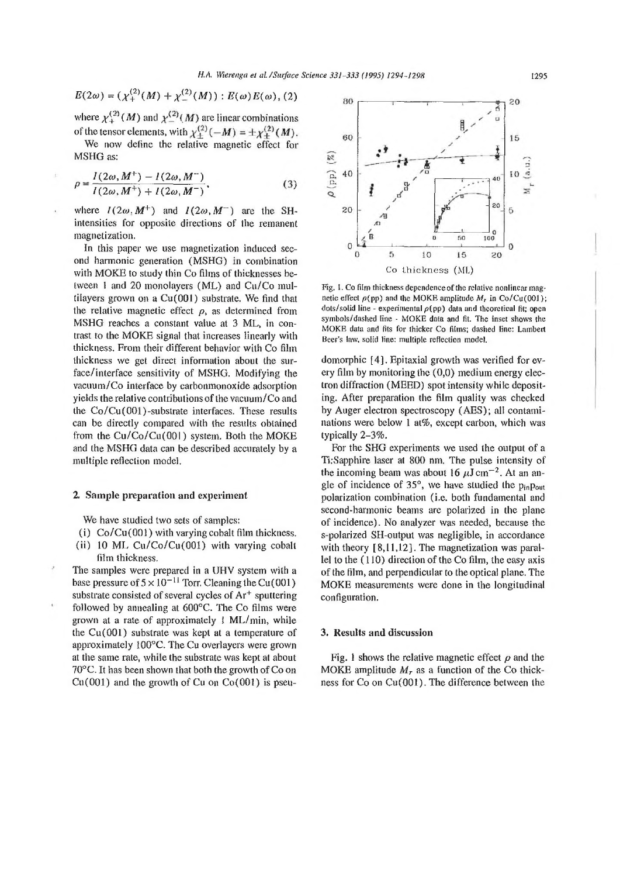$$
E(2\omega) = (\chi_+^{(2)}(M) + \chi_-^{(2)}(M)) : E(\omega)E(\omega), (2)
$$

where  $\chi^{(2)}_+(M)$  and  $\chi^{(2)}_-(M)$  are linear combinations of the tensor elements, with  $\chi_{\pm}^{(2)}(-M) = \pm \chi_{\pm}^{(2)}(M)$ .

We now define the relative magnetic effect for MSHG as:

$$
\rho = \frac{I(2\omega, M^{+}) - I(2\omega, M^{-})}{I(2\omega, M^{+}) + I(2\omega, M^{-})},
$$
\n(3)

where  $I(2\omega, M^+)$  and  $I(2\omega, M^-)$  are the SHintensities for opposite directions of the remanent magnetization.

In this paper we use magnetization induced second harmonic generation (MSHG) in combination with MOKE to study thin Co films of thicknesses between 1 and 20 monolayers (ML) and  $Cu/C$  multilayers grown on a Cu(QOI) substrate. We find that the relative magnetic effect  $\rho$ , as determined from MSHG reaches a constant value at 3 ML, in contrast to the MOKE signal that increases linearly with thickness. From their different behavior with Co film thickness we get direct information about the surface/interface sensitivity of MSHG. Modifying the vacuum/Co interface by carbonmonoxide adsorption yields the relative contributions of the vacuum/ $Co$  and the  $Co/Cu(001)$ -substrate interfaces. These results can be directly compared with the results obtained from the  $Cu/C<sub>0</sub>/Cu(001)$  system. Both the MOKE and the MSHG data can be described accurately by a multiple reflection model,

## **2. Sam ple preparation and experim ent**

We have studied two sets of samples:

- (i)  $Co/Cu(001)$  with varying cobalt film thickness.
- (ii) 10 ML  $Cu/C<sub>0</sub>/Cu(001)$  with varying cobalt film thickness.

The samples were prepared in a UHV system with a base pressure of  $5 \times 10^{-11}$  Torr. Cleaning the Cu(001) substrate consisted of several cycles of  $Ar<sup>+</sup>$  sputtering followed by annealing at  $600^{\circ}$ C. The Co films were grown at a rate of approximately  $1 \text{ ML/min}$ , while the  $Cu(001)$  substrate was kept at a temperature of approxim ately 100°C. The Cu overlayers were grown at the same rate, while the substrate was kept at about  $70^{\circ}$ C. It has been shown that both the growth of Co on  $Cu(001)$  and the growth of Cu on  $Co(001)$  is pseu-



Fig. 1. Co film thickness dependence of the relative nonlinear magnetic effect  $\rho$ (pp) and the MOKE amplitude  $M_r$  in Co/Cu(001); dots/solid line - experimental  $\rho$ (pp) data and theoretical fit; open symbols/dashed line - MOKE data and fit. The inset shows the MOKE data and fits for thicker Co films; dashed line: Lambert Beef's law. solid line: multiple reflection model.

domorphic [4]. Epitaxial growth was verified for every film by monitoring the  $(0,0)$  medium energy electron diffraction (MEED) spot intensity while depositing. After preparation the film quality was checked by Auger electron spectroscopy (AES); all contaminations were below 1 at%, except carbon, which was typically 2-3%.

For the SHG experiments we used the output of a Ti:Sapphire laser at 800 nm. The pulse intensity of the incoming beam was about 16  $\mu$ J cm<sup>-2</sup>. At an angle of incidence of  $35^\circ$ , we have studied the  $p_{in}p_{out}$ polarization combination (i.e. both fundamental and second-harmonic beams are polarized in the plane of incidence). No analyzer was needed, because the s-polarized SH-output was negligible, in accordance with theory  $[8,11,12]$ . The magnetization was parallel to the  $(110)$  direction of the Co film, the easy axis of the film, and perpendicular to the optical plane. The MOKE measurements were done in the longitudinal configuration.

## **3. Results and discussion**

Fig. 1 shows the relative magnetic effect  $\rho$  and the MOKE amplitude  $M_r$  as a function of the Co thickness for Co on Cu(001). The difference between the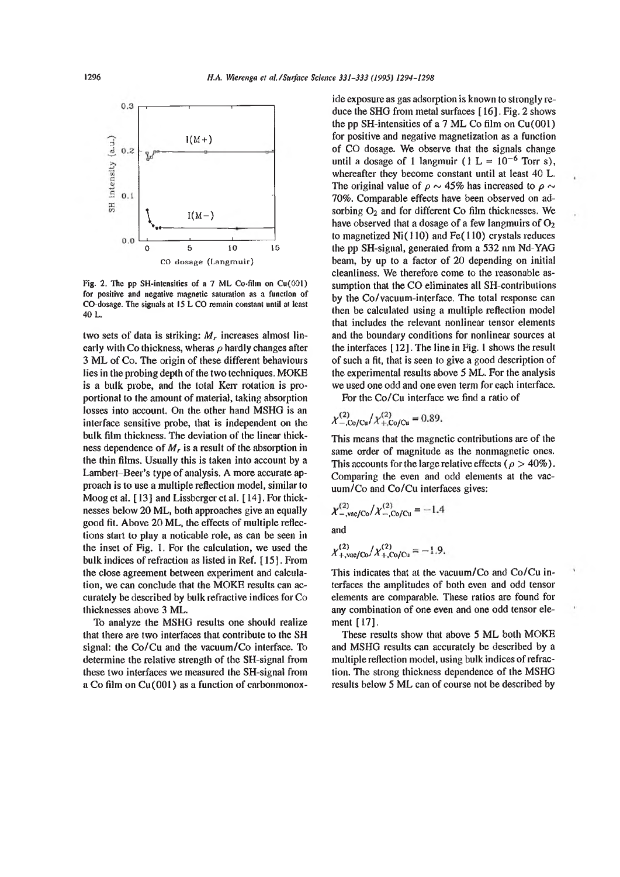

Fig. 2. The pp SH-intensities of a 7 ML Co-film on  $Cu(001)$ for positive and negative magnetic saturation as a function of CO-dosage. The signals at 15 L CO remain constant until at least 40 L.

two sets of data is striking:  $M_r$  increases almost linearly with Co thickness, wheras  $\rho$  hardly changes after 3 ML of Co. The origin of these different behaviours lies in the probing depth of the two techniques. MOKE is a bulk probe, and the total Kerr rotation is proportional to the amount of material, taking absorption losses into account. On the other hand MSHG is an interface sensitive probe, that is independent on the bulk film thickness. The deviation of the linear thickness dependence of  $M_r$  is a result of the absorption in the thin films. Usually this is taken into account by a Lambert-Beer's type of analysis. A more accurate approach is to use a multiple reflection model, similar to Moog et al. [13] and Lissberger et al. [14]. For thicknesses below 20 ML, both approaches give an equally good fit. Above  $20 \text{ ML}$ , the effects of multiple reflections start to play a noticable role, as can be seen in the inset of Fig. 1. For the calculation, we used the bulk indices of refraction as listed in Ref. [15]. From the close agreement between experiment and calculation, we can conclude that the MOKE results can accurately be described by bulk refractive indices for Co thicknesses above 3 ML.

To analyze the MSHG results one should realize that there are two interfaces that contribute to the SH signal: the  $Co/Cu$  and the vacuum/ $Co$  interface. To determine the relative strength of the SH-signal from these two interfaces we measured the SH-signal from a Co film on  $Cu(001)$  as a function of carbonmonox-

ide exposure as gas adsorption is known to strongly reduce the SHG from metal surfaces [ 16]. Fig. 2 shows the pp SH-intensities of a  $7$  ML Co film on Cu(001) for positive and negative magnetization as a function of CO dosage. We observe that the signals change until a dosage of 1 langmuir ( $1 L = 10^{-6}$  Torr s), whereafter they become constant until at least 40 L. The original value of  $\rho \sim 45\%$  has increased to  $\rho \sim$ 70%. Comparable effects have been observed on adsorbing  $O<sub>2</sub>$  and for different Co film thicknesses. We have observed that a dosage of a few langmuirs of  $O_2$ to magnetized  $Ni(110)$  and Fe $(110)$  crystals reduces the pp SH-signal, generated from a 532 nm Nd-YAG beam, by up to a factor of  $20$  depending on initial cleanliness. We therefore come to the reasonable assumption that the CO eliminates all SH-contributions by the Co/vacuum-interface. The total response can then be calculated using a multiple reflection model that includes the relevant nonlinear tensor elements and the boundary conditions for nonlinear sources at the interfaces [ 12]. The line in Fig. 1 shows the result of such a fit, that is seen to give a good description of the experimental results above 5 ML. For the analysis we used one odd and one even term for each interface.

For the Co/Cu interface we find a ratio of

$$
\chi_{-, \text{Co/Cu}}^{(2)}/\chi_{+, \text{Co/Cu}}^{(2)} = 0.89.
$$

This means that the magnetic contributions are of the same order of magnitude as the nonmagnetic ones. This accounts for the large relative effects ( $\rho > 40\%$ ). Comparing the even and odd elements at the vac $uum / Co$  and  $Co / Cu$  interfaces gives:

$$
\chi^{(2)}_{-, \text{vac/Co}} / \chi^{(2)}_{-, \text{Co/Cu}} = -1.4
$$

and

$$
\chi_{+,\text{vac/Co}}^{(2)}/\chi_{+,\text{Co/Cu}}^{(2)} = -1.9.
$$

This indicates that at the vacuum/ $Co$  and  $Co/Cu$  interfaces the amplitudes of both even and odd tensor elements are comparable. These ratios are found for any combination of one even and one odd tensor element [17].

These results show that above 5 ML both MOKE and MSHG results can accurately be described by a multiple reflection model, using bulk indices of refraction. The strong thickness dependence of the MSHG results below 5 ML can of course not be described by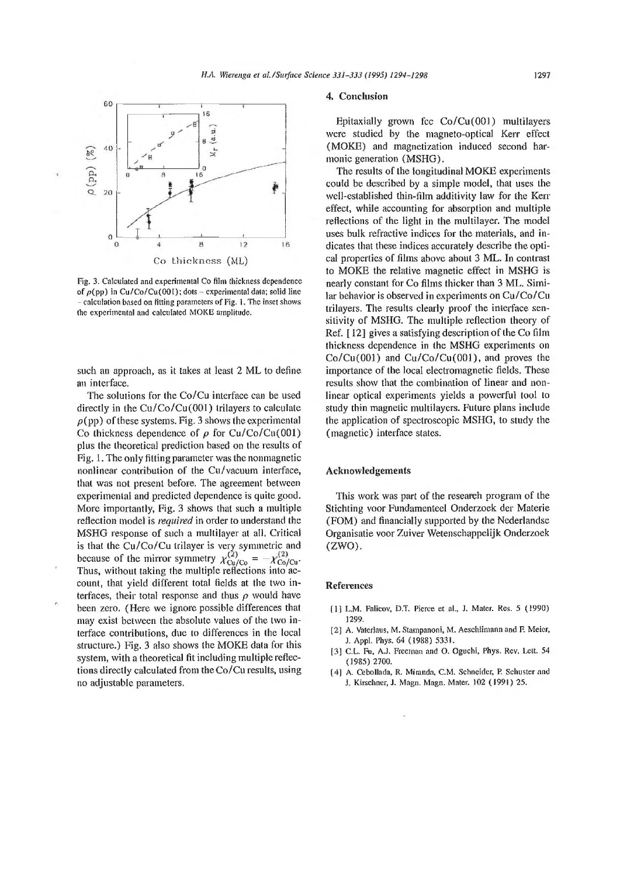

Fig. 3. Calculated and experimental Co film thickness dependence of  $\rho$ (pp) in Cu/Co/Cu(001); dots - experimental data; solid line - calculation based on fitting parameters of Fig. i. The inset shows the experimental and calculated MOKE amplitude.

such an approach, as it takes at least 2 ML to define an interface.

The solutions for the Co/Cu interface can be used directly in the  $Cu/Co/Cu(001)$  trilayers to calculate  $\rho$ (pp) of these systems. Fig. 3 shows the experimental Co thickness dependence of  $\rho$  for Cu/Co/Cu(001) plus the theoretical prediction based on the results of Fig. 1. The only fitting parameter was the nonmagnetic nonlinear contribution of the  $Cu/vacuum$  interface, that was not present before. The agreement between experimental and predicted dependence is quite good. More importantly, Fig. 3 shows that such a multiple reflection model is *required* in order to understand the MSHG response of such a multilayer at all. Critical is that the Cu/Co/Cu trilayer is very symmetric and because of the mirror symmetry  $\chi_{\text{Cu/Co}}^{\text{O}} = -\chi_{\text{Co/Cu}}^{\text{O}}$ . Thus, without taking the multiple reflections into account, that yield different total fields at the two interfaces, their total response and thus  $\rho$  would have been zero. (Here we ignore possible differences that may exist between the absolute values of the two interface contributions, due to differences in the local structure.) Fig. 3 also shows the MOKE data for this system, with a theoretical fit including multiple reflections directly calculated from the  $Co/Cu$  results, using no adjustable parameters.

### 4. Conclusion

Epitaxially grown fcc  $Co/Cu(001)$  multilayers were studied by the magneto-optical Kerr effect (MOKE) and magnetization induced second harmonic generation (MSHG).

The results of the longitudinal MOKE experiments could be described by a simple model, that uses the well-established thin-film additivity law for the Kerr effect, while accounting for absorption and multiple reflections of the light in the multilayer. The model uses bulk refractive indices for the materials, and indicates that these indices accurately describe the optical properties of films above about 3 ML. In contrast to MOKE the relative magnetic effect in MSHG is nearly constant for Co films thicker than 3 ML. Similar behavior is observed in experiments on Cu/Co/Cu trilayers. The results clearly proof the interface sensitivity of MSHG. The multiple reflection theory of Ref.  $[12]$  gives a satisfying description of the Co film thickness dependence in the MSHG experiments on  $Co/Cu(001)$  and  $Cu/Co/Cu(001)$ , and proves the importance of the local electromagnetic fields. These results show that the combination of linear and nonlinear optical experiments yields a powerful tool to study thin magnetic multilayers. Future plans include the application of spectroscopic MSHG, to study the (magnetic) interface states.

#### **Acknowledgem ents**

This work was part of the research program of the Stichting voor Fundamenteel Onderzoek der Materie (FOM) and financially supported by the Nederlandse Organisatie voor Zuiver Wetenschappelijk Onderzoek  $(ZWO)$ .

### **References**

- [1] L.M. Falicov, D.T. Pierce et al., J. Mater. Res. 5 < 1990) 1299.
- [2] A. Vaterlaus, M. Stampanoni, M. Aeschlimann and F. Meier, J. Appi. Phys. 64 (1988) 533Í.
- 13] C.L. Fu, A.J. Freeinan and O. Oguchí, Phys. Rev. Lett. 54 ( 1985) 2700.
- (4) A. Cebollada, R. Miranda, C.M. Schneider, R Schuster and 3. Kirschner, **J,** Magn, Magn. Mater. 102 (1991) *25.*